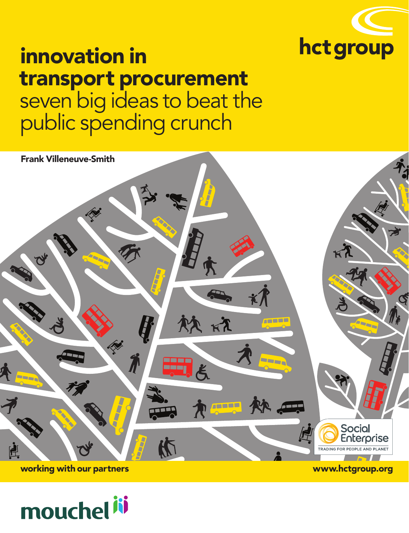

# innovation in transport procurement seven big ideas to beat the public spending crunch



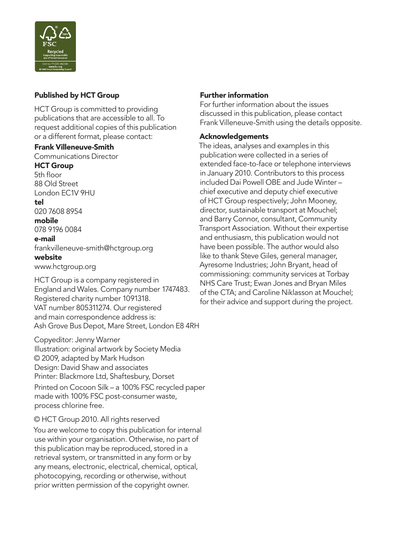

#### Published by HCT Group

HCT Group is committed to providing publications that are accessible to all. To request additional copies of this publication or a different format, please contact:

#### Frank Villeneuve-Smith

Communications Director

**HCT Group** 5th floor 88 Old Street London EC1V 9HU

tel 020 7608 8954

mobile 078 9196 0084

e-mail frankvilleneuve-smith@hctgroup.org website

www.hctgroup.org

HCT Group is a company registered in England and Wales. Company number 1747483. Registered charity number 1091318. VAT number 805311274. Our registered and main correspondence address is: Ash Grove Bus Depot, Mare Street, London E8 4RH

Copyeditor: Jenny Warner Illustration: original artwork by Society Media © 2009, adapted by Mark Hudson Design: David Shaw and associates Printer: Blackmore Ltd, Shaftesbury, Dorset Printed on Cocoon Silk – a 100% FSC recycled paper made with 100% FSC post-consumer waste, process chlorine free.

#### © HCT Group 2010. All rights reserved

You are welcome to copy this publication for internal use within your organisation. Otherwise, no part of this publication may be reproduced, stored in a retrieval system, or transmitted in any form or by any means, electronic, electrical, chemical, optical, photocopying, recording or otherwise, without prior written permission of the copyright owner.

#### Further information

For further information about the issues discussed in this publication, please contact Frank Villeneuve-Smith using the details opposite.

#### Acknowledgements

The ideas, analyses and examples in this publication were collected in a series of extended face-to-face or telephone interviews in January 2010. Contributors to this process included Dai Powell OBE and Jude Winter – chief executive and deputy chief executive of HCT Group respectively; John Mooney, director, sustainable transport at Mouchel; and Barry Connor, consultant, Community Transport Association. Without their expertise and enthusiasm, this publication would not have been possible. The author would also like to thank Steve Giles, general manager, Ayresome Industries; John Bryant, head of commissioning: community services at Torbay NHS Care Trust; Ewan Jones and Bryan Miles of the CTA; and Caroline Niklasson at Mouchel; for their advice and support during the project.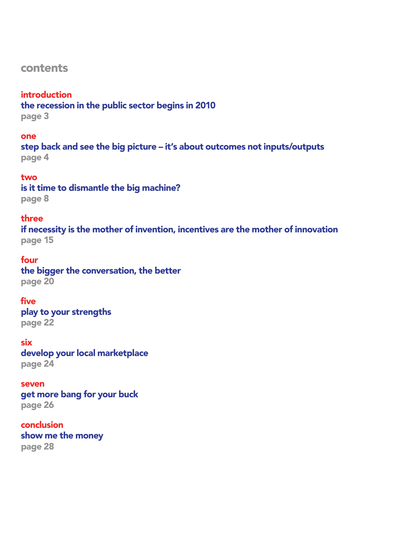### contents

#### introduction

the recession in the public sector begins in 2010

page 3

one step back and see the big picture – it's about outcomes not inputs/outputs page 4

#### two

is it time to dismantle the big machine? page 8

#### three if necessity is the mother of invention, incentives are the mother of innovation page 15

#### four

#### the bigger the conversation, the better page 20

#### five

play to your strengths page 22

six develop your local marketplace page 24

seven get more bang for your buck page 26

conclusion show me the money page 28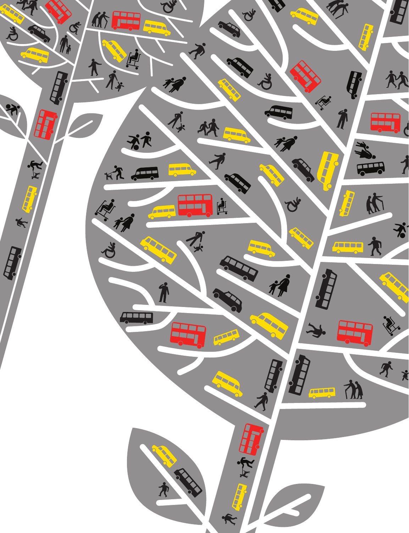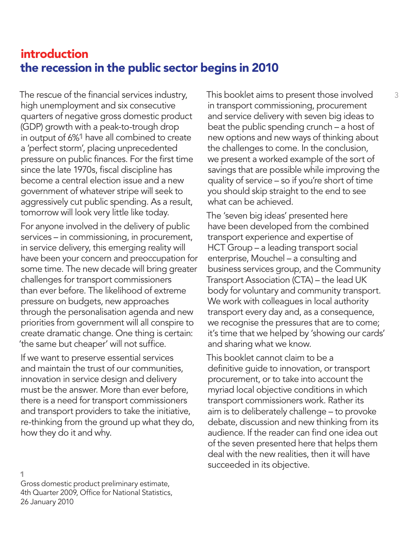### introduction the recession in the public sector begins in 2010

The rescue of the financial services industry, high unemployment and six consecutive quarters of negative gross domestic product (GDP) growth with a peak-to-trough drop in output of 6%1 have all combined to create a 'perfect storm', placing unprecedented pressure on public finances. For the first time since the late 1970s, fiscal discipline has become a central election issue and a new government of whatever stripe will seek to aggressively cut public spending. As a result, tomorrow will look very little like today.

For anyone involved in the delivery of public services – in commissioning, in procurement, in service delivery, this emerging reality will have been your concern and preoccupation for some time. The new decade will bring greater challenges for transport commissioners than ever before. The likelihood of extreme pressure on budgets, new approaches through the personalisation agenda and new priorities from government will all conspire to create dramatic change. One thing is certain: 'the same but cheaper' will not suffice.

If we want to preserve essential services and maintain the trust of our communities, innovation in service design and delivery must be the answer. More than ever before, there is a need for transport commissioners and transport providers to take the initiative, re-thinking from the ground up what they do, how they do it and why.

1 Gross domestic product preliminary estimate, 4th Quarter 2009, Office for National Statistics, 26 January 2010

This booklet aims to present those involved 3 in transport commissioning, procurement and service delivery with seven big ideas to beat the public spending crunch – a host of new options and new ways of thinking about the challenges to come. In the conclusion, we present a worked example of the sort of savings that are possible while improving the quality of service – so if you're short of time you should skip straight to the end to see what can be achieved.

The 'seven big ideas' presented here have been developed from the combined transport experience and expertise of HCT Group – a leading transport social enterprise, Mouchel – a consulting and business services group, and the Community Transport Association (CTA) – the lead UK body for voluntary and community transport. We work with colleagues in local authority transport every day and, as a consequence, we recognise the pressures that are to come; it's time that we helped by 'showing our cards' and sharing what we know.

This booklet cannot claim to be a definitive guide to innovation, or transport procurement, or to take into account the myriad local objective conditions in which transport commissioners work. Rather its aim is to deliberately challenge – to provoke debate, discussion and new thinking from its audience. If the reader can find one idea out of the seven presented here that helps them deal with the new realities, then it will have succeeded in its objective.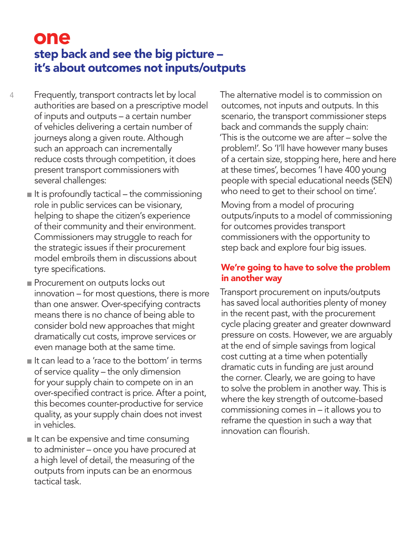### one step back and see the big picture – it's about outcomes not inputs/outputs

- 4 Frequently, transport contracts let by local The alternative model is to commission on authorities are based on a prescriptive model of inputs and outputs – a certain number of vehicles delivering a certain number of journeys along a given route. Although such an approach can incrementally reduce costs through competition, it does present transport commissioners with several challenges:
	- $\blacksquare$  It is profoundly tactical the commissioning role in public services can be visionary, helping to shape the citizen's experience of their community and their environment. Commissioners may struggle to reach for the strategic issues if their procurement model embroils them in discussions about tyre specifications.
	- Procurement on outputs locks out innovation – for most questions, there is more than one answer. Over-specifying contracts means there is no chance of being able to consider bold new approaches that might dramatically cut costs, improve services or even manage both at the same time.
	- $\blacksquare$  It can lead to a 'race to the bottom' in terms of service quality – the only dimension for your supply chain to compete on in an over-specified contract is price. After a point, this becomes counter-productive for service quality, as your supply chain does not invest in vehicles.
	- $\blacksquare$  It can be expensive and time consuming to administer – once you have procured at a high level of detail, the measuring of the outputs from inputs can be an enormous tactical task.

outcomes, not inputs and outputs. In this scenario, the transport commissioner steps back and commands the supply chain: 'This is the outcome we are after – solve the problem!'. So 'I'll have however many buses of a certain size, stopping here, here and here at these times', becomes 'I have 400 young people with special educational needs (SEN) who need to get to their school on time'.

Moving from a model of procuring outputs/inputs to a model of commissioning for outcomes provides transport commissioners with the opportunity to step back and explore four big issues.

#### We're going to have to solve the problem in another way

Transport procurement on inputs/outputs has saved local authorities plenty of money in the recent past, with the procurement cycle placing greater and greater downward pressure on costs. However, we are arguably at the end of simple savings from logical cost cutting at a time when potentially dramatic cuts in funding are just around the corner. Clearly, we are going to have to solve the problem in another way. This is where the key strength of outcome-based commissioning comes in – it allows you to reframe the question in such a way that innovation can flourish.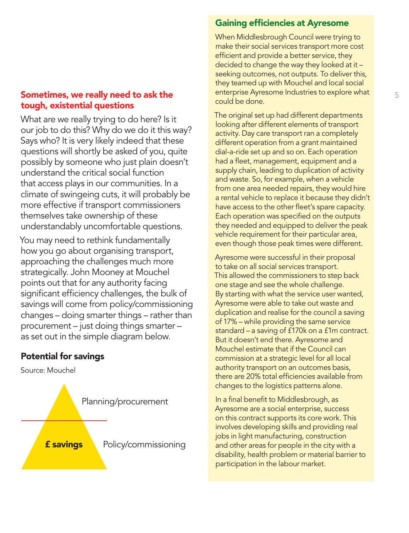#### Sometimes, we really need to ask the tough, existential questions

What are we really trying to do here? Is it our job to do this? Why do we do it this way? Says who? It is very likely indeed that these questions will shortly be asked of you, quite possibly by someone who just plain doesn't understand the critical social function that access plays in our communities. In a climate of swingeing cuts, it will probably be more effective if transport commissioners themselves take ownership of these understandably uncomfortable questions.

You may need to rethink fundamentally how you go about organising transport, approaching the challenges much more strategically. John Mooney at Mouchel points out that for any authority facing significant efficiency challenges, the bulk of savings will come from policy/commissioning changes – doing smarter things – rather than procurement – just doing things smarter – as set out in the simple diagram below.

#### Potential for savings

Source: Mouchel



#### Gaining efficiencies at Ayresome

When Middlesbrough Council were trying to make their social services transport more cost efficient and provide a better service, they decided to change the way they looked at it – seeking outcomes, not outputs. To deliver this, they teamed up with Mouchel and local social enterprise Ayresome Industries to explore what could be done.

The original set up had different departments looking after different elements of transport activity. Day care transport ran a completely different operation from a grant maintained dial-a-ride set up and so on. Each operation had a fleet, management, equipment and a supply chain, leading to duplication of activity and waste. So, for example, when a vehicle from one area needed repairs, they would hire a rental vehicle to replace it because they didn't have access to the other fleet's spare capacity. Each operation was specified on the outputs they needed and equipped to deliver the peak vehicle requirement for their particular area, even though those peak times were different.

Ayresome were successful in their proposal to take on all social services transport. This allowed the commissioners to step back one stage and see the whole challenge. By starting with what the service user wanted, Ayresome were able to take out waste and duplication and realise for the council a saving of 17% – while providing the same service standard – a saving of £170k on a £1m contract. But it doesn't end there. Ayresome and Mouchel estimate that if the Council can commission at a strategic level for all local authority transport on an outcomes basis, there are 20% total efficiencies available from changes to the logistics patterns alone.

In a final benefit to Middlesbrough, as Ayresome are a social enterprise, success on this contract supports its core work. This involves developing skills and providing real jobs in light manufacturing, construction and other areas for people in the city with a disability, health problem or material barrier to participation in the labour market.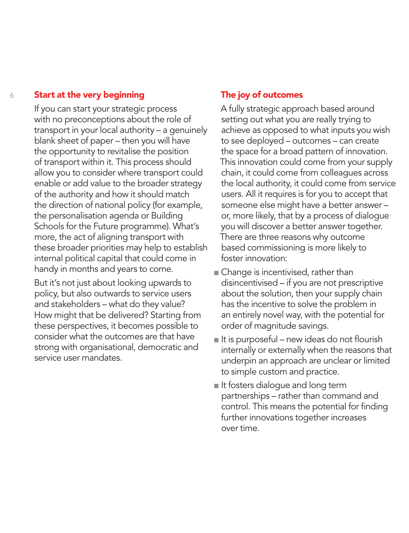#### 6 The joy of outcomes Start at the very beginning

If you can start your strategic process with no preconceptions about the role of transport in your local authority – a genuinely blank sheet of paper – then you will have the opportunity to revitalise the position of transport within it. This process should allow you to consider where transport could enable or add value to the broader strategy of the authority and how it should match the direction of national policy (for example, the personalisation agenda or Building Schools for the Future programme). What's more, the act of aligning transport with these broader priorities may help to establish internal political capital that could come in handy in months and years to come.

But it's not just about looking upwards to policy, but also outwards to service users and stakeholders – what do they value? How might that be delivered? Starting from these perspectives, it becomes possible to consider what the outcomes are that have strong with organisational, democratic and service user mandates.

A fully strategic approach based around setting out what you are really trying to achieve as opposed to what inputs you wish to see deployed – outcomes – can create the space for a broad pattern of innovation. This innovation could come from your supply chain, it could come from colleagues across the local authority, it could come from service users. All it requires is for you to accept that someone else might have a better answer – or, more likely, that by a process of dialogue you will discover a better answer together. There are three reasons why outcome based commissioning is more likely to foster innovation:

- $\blacksquare$  Change is incentivised, rather than disincentivised – if you are not prescriptive about the solution, then your supply chain has the incentive to solve the problem in an entirely novel way, with the potential for order of magnitude savings.
- $\blacksquare$  It is purposeful new ideas do not flourish internally or externally when the reasons that underpin an approach are unclear or limited to simple custom and practice.
- $\blacksquare$  It fosters dialogue and long term partnerships – rather than command and control. This means the potential for finding further innovations together increases over time.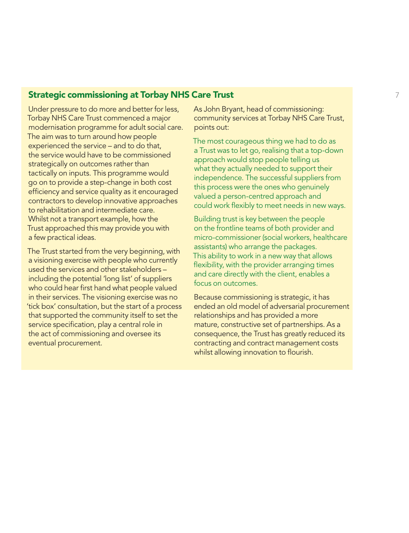#### Strategic commissioning at Torbay NHS Care Trust 7

Under pressure to do more and better for less, Torbay NHS Care Trust commenced a major modernisation programme for adult social care. The aim was to turn around how people experienced the service – and to do that, the service would have to be commissioned strategically on outcomes rather than tactically on inputs. This programme would go on to provide a step-change in both cost efficiency and service quality as it encouraged contractors to develop innovative approaches to rehabilitation and intermediate care. Whilst not a transport example, how the Trust approached this may provide you with a few practical ideas.

The Trust started from the very beginning, with a visioning exercise with people who currently used the services and other stakeholders – including the potential 'long list' of suppliers who could hear first hand what people valued in their services. The visioning exercise was no 'tick box' consultation, but the start of a process that supported the community itself to set the service specification, play a central role in the act of commissioning and oversee its eventual procurement.

As John Bryant, head of commissioning: community services at Torbay NHS Care Trust, points out:

The most courageous thing we had to do as a Trust was to let go, realising that a top-down approach would stop people telling us what they actually needed to support their independence. The successful suppliers from this process were the ones who genuinely valued a person-centred approach and could work flexibly to meet needs in new ways.

Building trust is key between the people on the frontline teams of both provider and micro-commissioner (social workers, healthcare assistants) who arrange the packages. This ability to work in a new way that allows flexibility, with the provider arranging times and care directly with the client, enables a focus on outcomes.

Because commissioning is strategic, it has ended an old model of adversarial procurement relationships and has provided a more mature, constructive set of partnerships. As a consequence, the Trust has greatly reduced its contracting and contract management costs whilst allowing innovation to flourish.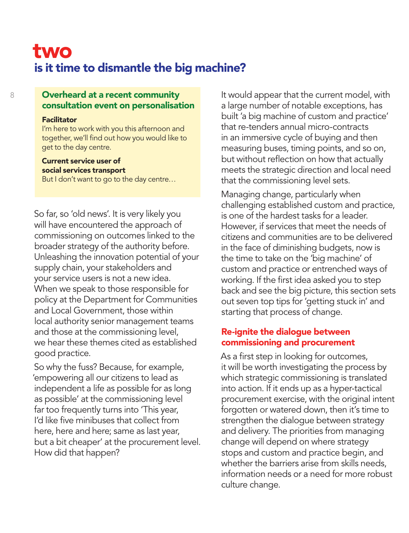### two is it time to dismantle the big machine?

#### Overheard at a recent community consultation event on personalisation

#### Facilitator

I'm here to work with you this afternoon and together, we'll find out how you would like to get to the day centre.

#### Current service user of social services transport

But I don't want to go to the day centre…

So far, so 'old news'. It is very likely you will have encountered the approach of commissioning on outcomes linked to the broader strategy of the authority before. Unleashing the innovation potential of your supply chain, your stakeholders and your service users is not a new idea. When we speak to those responsible for policy at the Department for Communities and Local Government, those within local authority senior management teams and those at the commissioning level, we hear these themes cited as established good practice.

So why the fuss? Because, for example, 'empowering all our citizens to lead as independent a life as possible for as long as possible' at the commissioning level far too frequently turns into 'This year, I'd like five minibuses that collect from here, here and here; same as last year, but a bit cheaper' at the procurement level. How did that happen?

8 **Overheard at a recent community It** would appear that the current model, with a large number of notable exceptions, has built 'a big machine of custom and practice' that re-tenders annual micro-contracts in an immersive cycle of buying and then measuring buses, timing points, and so on, but without reflection on how that actually meets the strategic direction and local need that the commissioning level sets.

> Managing change, particularly when challenging established custom and practice, is one of the hardest tasks for a leader. However, if services that meet the needs of citizens and communities are to be delivered in the face of diminishing budgets, now is the time to take on the 'big machine' of custom and practice or entrenched ways of working. If the first idea asked you to step back and see the big picture, this section sets out seven top tips for 'getting stuck in' and starting that process of change.

#### Re-ignite the dialogue between commissioning and procurement

As a first step in looking for outcomes, it will be worth investigating the process by which strategic commissioning is translated into action. If it ends up as a hyper-tactical procurement exercise, with the original intent forgotten or watered down, then it's time to strengthen the dialogue between strategy and delivery. The priorities from managing change will depend on where strategy stops and custom and practice begin, and whether the barriers arise from skills needs, information needs or a need for more robust culture change.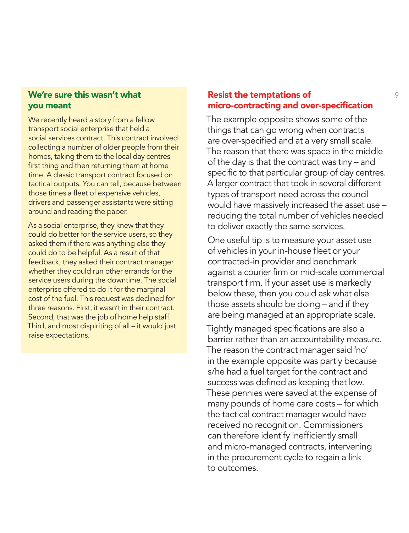#### We're sure this wasn't what you meant

We recently heard a story from a fellow transport social enterprise that held a social services contract. This contract involved collecting a number of older people from their homes, taking them to the local day centres first thing and then returning them at home time. A classic transport contract focused on tactical outputs. You can tell, because between those times a fleet of expensive vehicles, drivers and passenger assistants were sitting around and reading the paper.

As a social enterprise, they knew that they could do better for the service users, so they asked them if there was anything else they could do to be helpful. As a result of that feedback, they asked their contract manager whether they could run other errands for the service users during the downtime. The social enterprise offered to do it for the marginal cost of the fuel. This request was declined for three reasons. First, it wasn't in their contract. Second, that was the job of home help staff. Third, and most dispiriting of all – it would just raise expectations.

#### **Resist the temptations of**  $9$ micro-contracting and over-specification

The example opposite shows some of the things that can go wrong when contracts are over-specified and at a very small scale. The reason that there was space in the middle of the day is that the contract was tiny – and specific to that particular group of day centres. A larger contract that took in several different types of transport need across the council would have massively increased the asset use – reducing the total number of vehicles needed to deliver exactly the same services.

One useful tip is to measure your asset use of vehicles in your in-house fleet or your contracted-in provider and benchmark against a courier firm or mid-scale commercial transport firm. If your asset use is markedly below these, then you could ask what else those assets should be doing – and if they are being managed at an appropriate scale.

Tightly managed specifications are also a barrier rather than an accountability measure. The reason the contract manager said 'no' in the example opposite was partly because s/he had a fuel target for the contract and success was defined as keeping that low. These pennies were saved at the expense of many pounds of home care costs – for which the tactical contract manager would have received no recognition. Commissioners can therefore identify inefficiently small and micro-managed contracts, intervening in the procurement cycle to regain a link to outcomes.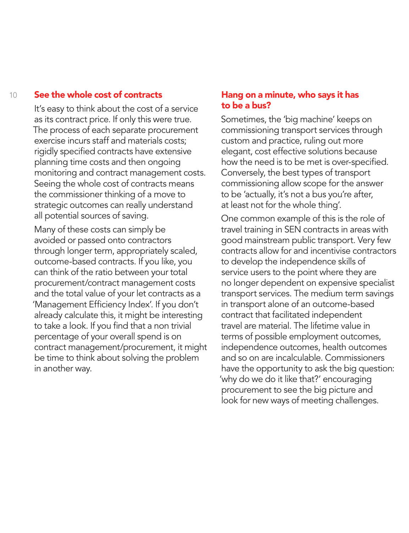#### 10 See the whole cost of contracts **10 Hang on a minute, who says it has** See the whole cost of contracts

It's easy to think about the cost of a service as its contract price. If only this were true. The process of each separate procurement exercise incurs staff and materials costs; rigidly specified contracts have extensive planning time costs and then ongoing monitoring and contract management costs. Seeing the whole cost of contracts means the commissioner thinking of a move to strategic outcomes can really understand all potential sources of saving.

Many of these costs can simply be avoided or passed onto contractors through longer term, appropriately scaled, outcome-based contracts. If you like, you can think of the ratio between your total procurement/contract management costs and the total value of your let contracts as a 'Management Efficiency Index'. If you don't already calculate this, it might be interesting to take a look. If you find that a non trivial percentage of your overall spend is on contract management/procurement, it might be time to think about solving the problem in another way.

## to be a bus?

Sometimes, the 'big machine' keeps on commissioning transport services through custom and practice, ruling out more elegant, cost effective solutions because how the need is to be met is over-specified. Conversely, the best types of transport commissioning allow scope for the answer to be 'actually, it's not a bus you're after, at least not for the whole thing'.

One common example of this is the role of travel training in SEN contracts in areas with good mainstream public transport. Very few contracts allow for and incentivise contractors to develop the independence skills of service users to the point where they are no longer dependent on expensive specialist transport services. The medium term savings in transport alone of an outcome-based contract that facilitated independent travel are material. The lifetime value in terms of possible employment outcomes, independence outcomes, health outcomes and so on are incalculable. Commissioners have the opportunity to ask the big question: 'why do we do it like that?' encouraging procurement to see the big picture and look for new ways of meeting challenges.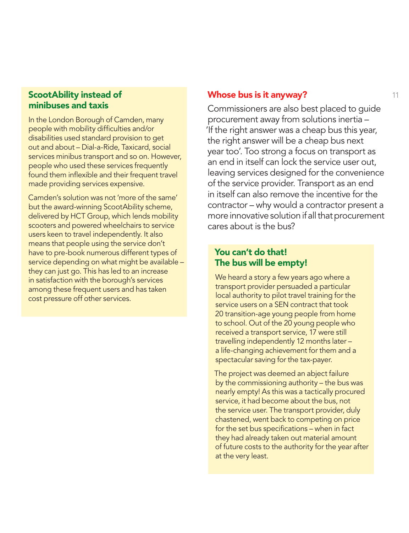#### ScootAbility instead of minibuses and taxis

In the London Borough of Camden, many people with mobility difficulties and/or disabilities used standard provision to get out and about – Dial-a-Ride, Taxicard, social services minibus transport and so on. However, people who used these services frequently found them inflexible and their frequent travel made providing services expensive.

Camden's solution was not 'more of the same' but the award-winning ScootAbility scheme, delivered by HCT Group, which lends mobility scooters and powered wheelchairs to service users keen to travel independently. It also means that people using the service don't have to pre-book numerous different types of service depending on what might be available – they can just go. This has led to an increase in satisfaction with the borough's services among these frequent users and has taken cost pressure off other services.

#### **Whose bus is it anyway?** 11

Commissioners are also best placed to guide procurement away from solutions inertia – 'If the right answer was a cheap bus this year, the right answer will be a cheap bus next year too'. Too strong a focus on transport as an end in itself can lock the service user out, leaving services designed for the convenience of the service provider. Transport as an end in itself can also remove the incentive for the contractor – why would a contractor present a more innovative solution if all that procurement cares about is the bus?

#### You can't do that! The bus will be empty!

We heard a story a few years ago where a transport provider persuaded a particular local authority to pilot travel training for the service users on a SEN contract that took 20 transition-age young people from home to school. Out of the 20 young people who received a transport service, 17 were still travelling independently 12 months later – a life-changing achievement for them and a spectacular saving for the tax-payer.

The project was deemed an abject failure by the commissioning authority – the bus was nearly empty! As this was a tactically procured service, it had become about the bus, not the service user. The transport provider, duly chastened, went back to competing on price for the set bus specifications – when in fact they had already taken out material amount of future costs to the authority for the year after at the very least.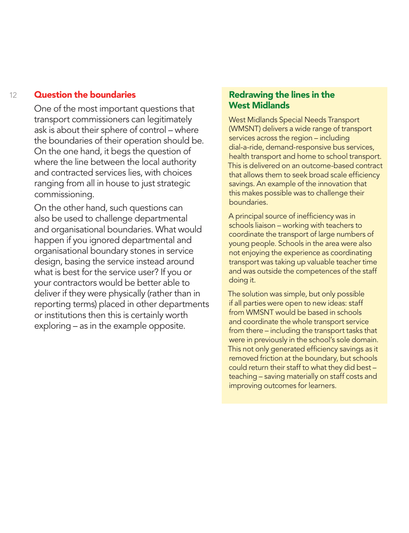#### **12 Cuestion the boundaries Example 3 Redrawing the lines in the** Question the boundaries

One of the most important questions that transport commissioners can legitimately ask is about their sphere of control – where the boundaries of their operation should be. On the one hand, it begs the question of where the line between the local authority and contracted services lies, with choices ranging from all in house to just strategic commissioning.

On the other hand, such questions can also be used to challenge departmental and organisational boundaries. What would happen if you ignored departmental and organisational boundary stones in service design, basing the service instead around what is best for the service user? If you or your contractors would be better able to deliver if they were physically (rather than in reporting terms) placed in other departments or institutions then this is certainly worth exploring – as in the example opposite.

### West Midlands

West Midlands Special Needs Transport (WMSNT) delivers a wide range of transport services across the region – including dial-a-ride, demand-responsive bus services, health transport and home to school transport. This is delivered on an outcome-based contract that allows them to seek broad scale efficiency savings. An example of the innovation that this makes possible was to challenge their boundaries.

A principal source of inefficiency was in schools liaison – working with teachers to coordinate the transport of large numbers of young people. Schools in the area were also not enjoying the experience as coordinating transport was taking up valuable teacher time and was outside the competences of the staff doing it.

The solution was simple, but only possible if all parties were open to new ideas: staff from WMSNT would be based in schools and coordinate the whole transport service from there – including the transport tasks that were in previously in the school's sole domain. This not only generated efficiency savings as it removed friction at the boundary, but schools could return their staff to what they did best – teaching – saving materially on staff costs and improving outcomes for learners.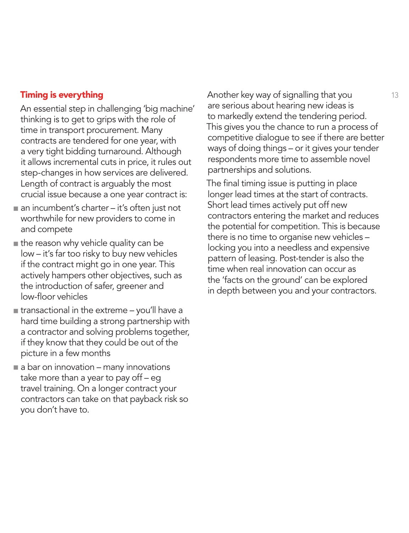#### Timing is everything

An essential step in challenging 'big machine' thinking is to get to grips with the role of time in transport procurement. Many contracts are tendered for one year, with a very tight bidding turnaround. Although it allows incremental cuts in price, it rules out step-changes in how services are delivered. Length of contract is arguably the most crucial issue because a one year contract is:

- $\blacksquare$  an incumbent's charter it's often just not worthwhile for new providers to come in and compete
- $\blacksquare$  the reason why vehicle quality can be low – it's far too risky to buy new vehicles if the contract might go in one year. This actively hampers other objectives, such as the introduction of safer, greener and low-floor vehicles
- $\blacksquare$  transactional in the extreme you'll have a hard time building a strong partnership with a contractor and solving problems together, if they know that they could be out of the picture in a few months
- $\blacksquare$  a bar on innovation many innovations take more than a year to pay off – eg travel training. On a longer contract your contractors can take on that payback risk so you don't have to.

Another key way of signalling that you **13** are serious about hearing new ideas is to markedly extend the tendering period. This gives you the chance to run a process of competitive dialogue to see if there are better ways of doing things – or it gives your tender respondents more time to assemble novel partnerships and solutions.

The final timing issue is putting in place longer lead times at the start of contracts. Short lead times actively put off new contractors entering the market and reduces the potential for competition. This is because there is no time to organise new vehicles – locking you into a needless and expensive pattern of leasing. Post-tender is also the time when real innovation can occur as the 'facts on the ground' can be explored in depth between you and your contractors.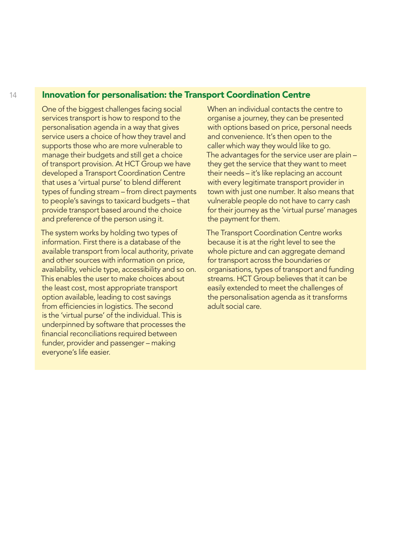#### 14 Innovation for personalisation: the Transport Coordination Centre

One of the biggest challenges facing social services transport is how to respond to the personalisation agenda in a way that gives service users a choice of how they travel and supports those who are more vulnerable to manage their budgets and still get a choice of transport provision. At HCT Group we have developed a Transport Coordination Centre that uses a 'virtual purse' to blend different types of funding stream – from direct payments to people's savings to taxicard budgets – that provide transport based around the choice and preference of the person using it.

The system works by holding two types of information. First there is a database of the available transport from local authority, private and other sources with information on price, availability, vehicle type, accessibility and so on. This enables the user to make choices about the least cost, most appropriate transport option available, leading to cost savings from efficiencies in logistics. The second is the 'virtual purse' of the individual. This is underpinned by software that processes the financial reconciliations required between funder, provider and passenger – making everyone's life easier.

When an individual contacts the centre to organise a journey, they can be presented with options based on price, personal needs and convenience. It's then open to the caller which way they would like to go. The advantages for the service user are plain – they get the service that they want to meet their needs – it's like replacing an account with every legitimate transport provider in town with just one number. It also means that vulnerable people do not have to carry cash for their journey as the 'virtual purse' manages the payment for them.

The Transport Coordination Centre works because it is at the right level to see the whole picture and can aggregate demand for transport across the boundaries or organisations, types of transport and funding streams. HCT Group believes that it can be easily extended to meet the challenges of the personalisation agenda as it transforms adult social care.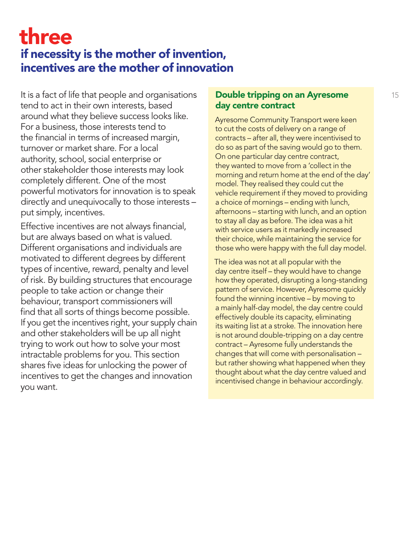### three if necessity is the mother of invention, incentives are the mother of innovation

It is a fact of life that people and organisations tend to act in their own interests, based around what they believe success looks like. For a business, those interests tend to the financial in terms of increased margin, turnover or market share. For a local authority, school, social enterprise or other stakeholder those interests may look completely different. One of the most powerful motivators for innovation is to speak directly and unequivocally to those interests – put simply, incentives.

Effective incentives are not always financial, but are always based on what is valued. Different organisations and individuals are motivated to different degrees by different types of incentive, reward, penalty and level of risk. By building structures that encourage people to take action or change their behaviour, transport commissioners will find that all sorts of things become possible. If you get the incentives right, your supply chain and other stakeholders will be up all night trying to work out how to solve your most intractable problems for you. This section shares five ideas for unlocking the power of incentives to get the changes and innovation you want.

#### **Double tripping on an Ayresome** 15 day centre contract

Ayresome Community Transport were keen to cut the costs of delivery on a range of contracts – after all, they were incentivised to do so as part of the saving would go to them. On one particular day centre contract, they wanted to move from a 'collect in the morning and return home at the end of the day' model. They realised they could cut the vehicle requirement if they moved to providing a choice of mornings – ending with lunch, afternoons – starting with lunch, and an option to stay all day as before. The idea was a hit with service users as it markedly increased their choice, while maintaining the service for those who were happy with the full day model.

The idea was not at all popular with the day centre itself – they would have to change how they operated, disrupting a long-standing pattern of service. However, Ayresome quickly found the winning incentive – by moving to a mainly half-day model, the day centre could effectively double its capacity, eliminating its waiting list at a stroke. The innovation here is not around double-tripping on a day centre contract – Ayresome fully understands the changes that will come with personalisation – but rather showing what happened when they thought about what the day centre valued and incentivised change in behaviour accordingly.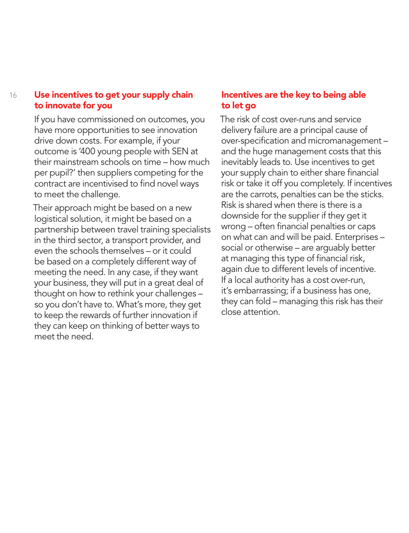#### 16 Use incentives to get your supply chain **Incentives are the key to being able** to innovate for you

If you have commissioned on outcomes, you have more opportunities to see innovation drive down costs. For example, if your outcome is '400 young people with SEN at their mainstream schools on time – how much per pupil?' then suppliers competing for the contract are incentivised to find novel ways to meet the challenge.

Their approach might be based on a new logistical solution, it might be based on a partnership between travel training specialists in the third sector, a transport provider, and even the schools themselves – or it could be based on a completely different way of meeting the need. In any case, if they want your business, they will put in a great deal of thought on how to rethink your challenges – so you don't have to. What's more, they get to keep the rewards of further innovation if they can keep on thinking of better ways to meet the need.

## to let go

The risk of cost over-runs and service delivery failure are a principal cause of over-specification and micromanagement – and the huge management costs that this inevitably leads to. Use incentives to get your supply chain to either share financial risk or take it off you completely. If incentives are the carrots, penalties can be the sticks. Risk is shared when there is there is a downside for the supplier if they get it wrong – often financial penalties or caps on what can and will be paid. Enterprises – social or otherwise – are arguably better at managing this type of financial risk, again due to different levels of incentive. If a local authority has a cost over-run, it's embarrassing; if a business has one, they can fold – managing this risk has their close attention.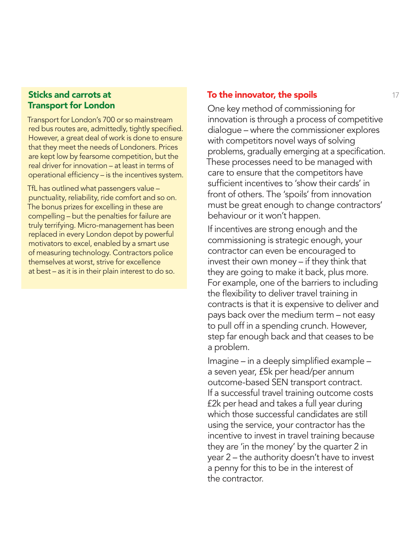#### Sticks and carrots at Transport for London

Transport for London's 700 or so mainstream red bus routes are, admittedly, tightly specified. However, a great deal of work is done to ensure that they meet the needs of Londoners. Prices are kept low by fearsome competition, but the real driver for innovation – at least in terms of operational efficiency – is the incentives system.

TfL has outlined what passengers value – punctuality, reliability, ride comfort and so on. The bonus prizes for excelling in these are compelling – but the penalties for failure are truly terrifying. Micro-management has been replaced in every London depot by powerful motivators to excel, enabled by a smart use of measuring technology. Contractors police themselves at worst, strive for excellence at best – as it is in their plain interest to do so.

#### **To the innovator, the spoils 17** 17

One key method of commissioning for innovation is through a process of competitive dialogue – where the commissioner explores with competitors novel ways of solving problems, gradually emerging at a specification. These processes need to be managed with care to ensure that the competitors have sufficient incentives to 'show their cards' in front of others. The 'spoils' from innovation must be great enough to change contractors' behaviour or it won't happen.

If incentives are strong enough and the commissioning is strategic enough, your contractor can even be encouraged to invest their own money – if they think that they are going to make it back, plus more. For example, one of the barriers to including the flexibility to deliver travel training in contracts is that it is expensive to deliver and pays back over the medium term – not easy to pull off in a spending crunch. However, step far enough back and that ceases to be a problem.

Imagine – in a deeply simplified example – a seven year, £5k per head/per annum outcome-based SEN transport contract. If a successful travel training outcome costs £2k per head and takes a full year during which those successful candidates are still using the service, your contractor has the incentive to invest in travel training because they are 'in the money' by the quarter 2 in year 2 – the authority doesn't have to invest a penny for this to be in the interest of the contractor.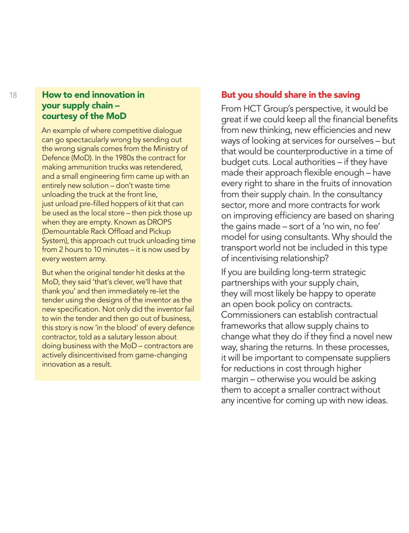#### How to end innovation in your supply chain – courtesy of the MoD

An example of where competitive dialogue can go spectacularly wrong by sending out the wrong signals comes from the Ministry of Defence (MoD). In the 1980s the contract for making ammunition trucks was retendered, and a small engineering firm came up with an entirely new solution – don't waste time unloading the truck at the front line, just unload pre-filled hoppers of kit that can be used as the local store – then pick those up when they are empty. Known as DROPS (Demountable Rack Offload and Pickup System), this approach cut truck unloading time from 2 hours to 10 minutes – it is now used by every western army.

But when the original tender hit desks at the MoD, they said 'that's clever, we'll have that thank you' and then immediately re-let the tender using the designs of the inventor as the new specification. Not only did the inventor fail to win the tender and then go out of business, this story is now 'in the blood' of every defence contractor, told as a salutary lesson about doing business with the MoD – contractors are actively disincentivised from game-changing innovation as a result.

#### 18 **But you should share in the saving But you should share in the saving**

From HCT Group's perspective, it would be great if we could keep all the financial benefits from new thinking, new efficiencies and new ways of looking at services for ourselves – but that would be counterproductive in a time of budget cuts. Local authorities – if they have made their approach flexible enough – have every right to share in the fruits of innovation from their supply chain. In the consultancy sector, more and more contracts for work on improving efficiency are based on sharing the gains made – sort of a 'no win, no fee' model for using consultants. Why should the transport world not be included in this type of incentivising relationship?

If you are building long-term strategic partnerships with your supply chain, they will most likely be happy to operate an open book policy on contracts. Commissioners can establish contractual frameworks that allow supply chains to change what they do if they find a novel new way, sharing the returns. In these processes, it will be important to compensate suppliers for reductions in cost through higher margin – otherwise you would be asking them to accept a smaller contract without any incentive for coming up with new ideas.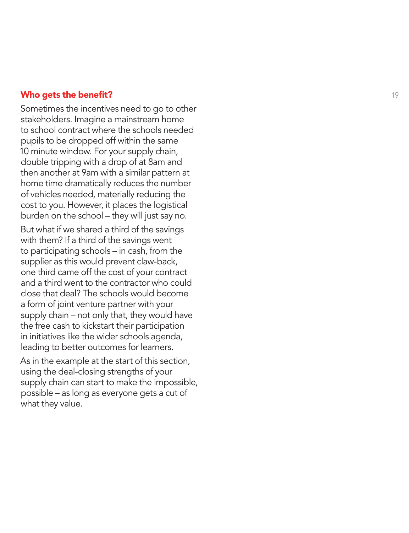#### Who gets the benefit? 19

Sometimes the incentives need to go to other stakeholders. Imagine a mainstream home to school contract where the schools needed pupils to be dropped off within the same 10 minute window. For your supply chain, double tripping with a drop of at 8am and then another at 9am with a similar pattern at home time dramatically reduces the number of vehicles needed, materially reducing the cost to you. However, it places the logistical burden on the school – they will just say no.

But what if we shared a third of the savings with them? If a third of the savings went to participating schools – in cash, from the supplier as this would prevent claw-back, one third came off the cost of your contract and a third went to the contractor who could close that deal? The schools would become a form of joint venture partner with your supply chain – not only that, they would have the free cash to kickstart their participation in initiatives like the wider schools agenda, leading to better outcomes for learners.

As in the example at the start of this section, using the deal-closing strengths of your supply chain can start to make the impossible, possible – as long as everyone gets a cut of what they value.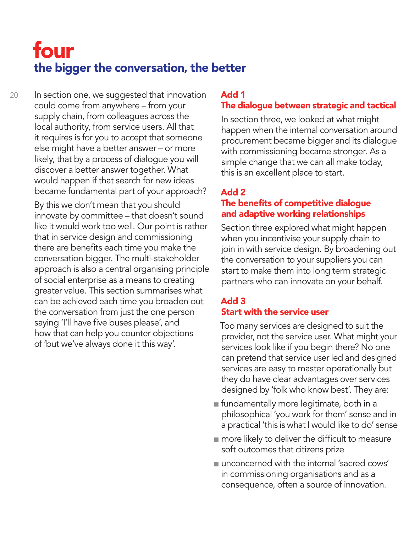### four the bigger the conversation, the better

20 In section one, we suggested that innovation Add 1 could come from anywhere – from your supply chain, from colleagues across the local authority, from service users. All that it requires is for you to accept that someone else might have a better answer – or more likely, that by a process of dialogue you will discover a better answer together. What would happen if that search for new ideas became fundamental part of your approach?

By this we don't mean that you should innovate by committee – that doesn't sound like it would work too well. Our point is rather that in service design and commissioning there are benefits each time you make the conversation bigger. The multi-stakeholder approach is also a central organising principle of social enterprise as a means to creating greater value. This section summarises what can be achieved each time you broaden out the conversation from just the one person saying 'I'll have five buses please', and how that can help you counter objections of 'but we've always done it this way'.

# The dialogue between strategic and tactical

In section three, we looked at what might happen when the internal conversation around procurement became bigger and its dialogue with commissioning became stronger. As a simple change that we can all make today, this is an excellent place to start.

### Add 2

#### The benefits of competitive dialogue and adaptive working relationships

Section three explored what might happen when you incentivise your supply chain to join in with service design. By broadening out the conversation to your suppliers you can start to make them into long term strategic partners who can innovate on your behalf.

#### Add 3 Start with the service user

Too many services are designed to suit the provider, not the service user. What might your services look like if you begin there? No one can pretend that service user led and designed services are easy to master operationally but they do have clear advantages over services designed by 'folk who know best'. They are:

- $\blacksquare$  fundamentally more legitimate, both in a philosophical 'you work for them' sense and in a practical 'this is what I would like to do' sense
- $\blacksquare$  more likely to deliver the difficult to measure soft outcomes that citizens prize
- unconcerned with the internal 'sacred cows' in commissioning organisations and as a consequence, often a source of innovation.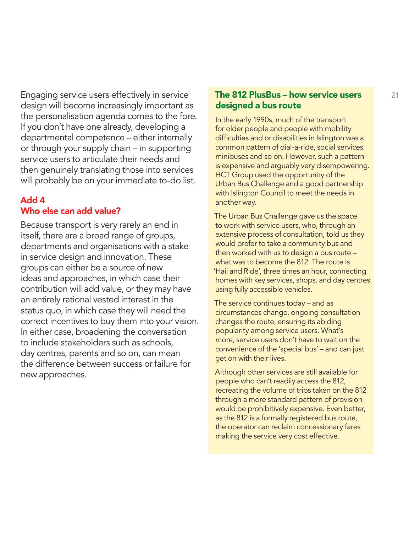Engaging service users effectively in service design will become increasingly important as the personalisation agenda comes to the fore. If you don't have one already, developing a departmental competence – either internally or through your supply chain – in supporting service users to articulate their needs and then genuinely translating those into services will probably be on your immediate to-do list.

#### Add 4 Who else can add value?

Because transport is very rarely an end in itself, there are a broad range of groups, departments and organisations with a stake in service design and innovation. These groups can either be a source of new ideas and approaches, in which case their contribution will add value, or they may have an entirely rational vested interest in the status quo, in which case they will need the correct incentives to buy them into your vision. In either case, broadening the conversation to include stakeholders such as schools, day centres, parents and so on, can mean the difference between success or failure for new approaches.

#### **The 812 PlusBus – how service users** 21 designed a bus route

In the early 1990s, much of the transport for older people and people with mobility difficulties and or disabilities in Islington was a common pattern of dial-a-ride, social services minibuses and so on. However, such a pattern is expensive and arguably very disempowering. HCT Group used the opportunity of the Urban Bus Challenge and a good partnership with Islington Council to meet the needs in another way.

The Urban Bus Challenge gave us the space to work with service users, who, through an extensive process of consultation, told us they would prefer to take a community bus and then worked with us to design a bus route what was to become the 812. The route is 'Hail and Ride', three times an hour, connecting homes with key services, shops, and day centres using fully accessible vehicles.

The service continues today – and as circumstances change, ongoing consultation changes the route, ensuring its abiding popularity among service users. What's more, service users don't have to wait on the convenience of the 'special bus' – and can just get on with their lives.

Although other services are still available for people who can't readily access the 812, recreating the volume of trips taken on the 812 through a more standard pattern of provision would be prohibitively expensive. Even better, as the 812 is a formally registered bus route, the operator can reclaim concessionary fares making the service very cost effective.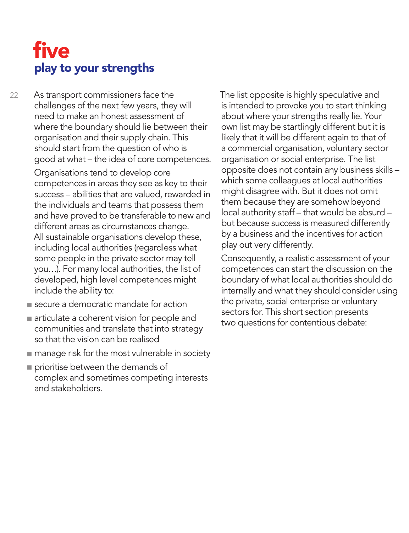### five play to your strengths

22 As transport commissioners face the challenges of the next few years, they will need to make an honest assessment of where the boundary should lie between their organisation and their supply chain. This should start from the question of who is good at what – the idea of core competences.

> Organisations tend to develop core competences in areas they see as key to their success – abilities that are valued, rewarded in the individuals and teams that possess them and have proved to be transferable to new and different areas as circumstances change. All sustainable organisations develop these, including local authorities (regardless what some people in the private sector may tell you…). For many local authorities, the list of developed, high level competences might include the ability to:

- secure a democratic mandate for action
- **n** articulate a coherent vision for people and communities and translate that into strategy so that the vision can be realised
- **n** manage risk for the most vulnerable in society
- prioritise between the demands of complex and sometimes competing interests and stakeholders.

The list opposite is highly speculative and is intended to provoke you to start thinking about where your strengths really lie. Your own list may be startlingly different but it is likely that it will be different again to that of a commercial organisation, voluntary sector organisation or social enterprise. The list opposite does not contain any business skills – which some colleagues at local authorities might disagree with. But it does not omit them because they are somehow beyond local authority staff – that would be absurd – but because success is measured differently by a business and the incentives for action play out very differently.

Consequently, a realistic assessment of your competences can start the discussion on the boundary of what local authorities should do internally and what they should consider using the private, social enterprise or voluntary sectors for. This short section presents two questions for contentious debate: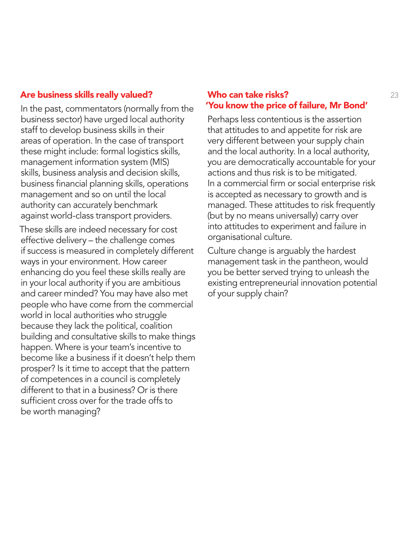#### Are business skills really valued?

In the past, commentators (normally from the business sector) have urged local authority staff to develop business skills in their areas of operation. In the case of transport these might include: formal logistics skills, management information system (MIS) skills, business analysis and decision skills, business financial planning skills, operations management and so on until the local authority can accurately benchmark against world-class transport providers.

These skills are indeed necessary for cost effective delivery – the challenge comes if success is measured in completely different ways in your environment. How career enhancing do you feel these skills really are in your local authority if you are ambitious and career minded? You may have also met people who have come from the commercial world in local authorities who struggle because they lack the political, coalition building and consultative skills to make things happen. Where is your team's incentive to become like a business if it doesn't help them prosper? Is it time to accept that the pattern of competences in a council is completely different to that in a business? Or is there sufficient cross over for the trade offs to be worth managing?

#### **Who can take risks?** 23 'You know the price of failure, Mr Bond'

Perhaps less contentious is the assertion that attitudes to and appetite for risk are very different between your supply chain and the local authority. In a local authority, you are democratically accountable for your actions and thus risk is to be mitigated. In a commercial firm or social enterprise risk is accepted as necessary to growth and is managed. These attitudes to risk frequently (but by no means universally) carry over into attitudes to experiment and failure in organisational culture.

Culture change is arguably the hardest management task in the pantheon, would you be better served trying to unleash the existing entrepreneurial innovation potential of your supply chain?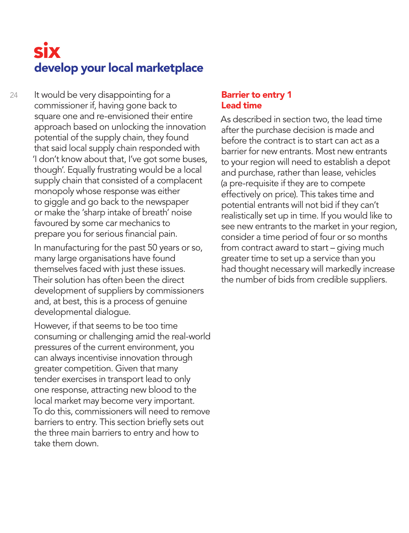### six develop your local marketplace

24 It would be very disappointing for a **Barrier to entry 1** commissioner if, having gone back to square one and re-envisioned their entire approach based on unlocking the innovation potential of the supply chain, they found that said local supply chain responded with 'I don't know about that, I've got some buses, though'. Equally frustrating would be a local supply chain that consisted of a complacent monopoly whose response was either to giggle and go back to the newspaper or make the 'sharp intake of breath' noise favoured by some car mechanics to prepare you for serious financial pain.

In manufacturing for the past 50 years or so, many large organisations have found themselves faced with just these issues. Their solution has often been the direct development of suppliers by commissioners and, at best, this is a process of genuine developmental dialogue.

However, if that seems to be too time consuming or challenging amid the real-world pressures of the current environment, you can always incentivise innovation through greater competition. Given that many tender exercises in transport lead to only one response, attracting new blood to the local market may become very important. To do this, commissioners will need to remove barriers to entry. This section briefly sets out the three main barriers to entry and how to take them down.

## Lead time

As described in section two, the lead time after the purchase decision is made and before the contract is to start can act as a barrier for new entrants. Most new entrants to your region will need to establish a depot and purchase, rather than lease, vehicles (a pre-requisite if they are to compete effectively on price). This takes time and potential entrants will not bid if they can't realistically set up in time. If you would like to see new entrants to the market in your region, consider a time period of four or so months from contract award to start – giving much greater time to set up a service than you had thought necessary will markedly increase the number of bids from credible suppliers.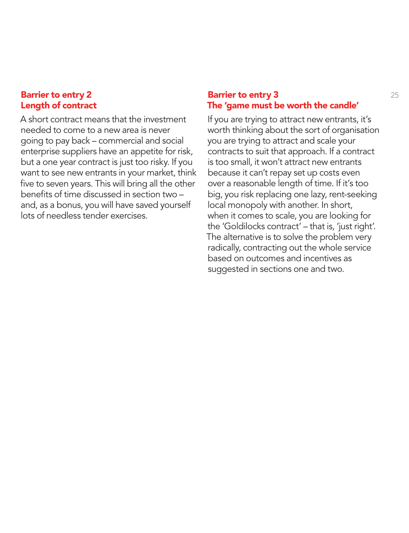#### Barrier to entry 2 Length of contract

A short contract means that the investment needed to come to a new area is never going to pay back – commercial and social enterprise suppliers have an appetite for risk, but a one year contract is just too risky. If you want to see new entrants in your market, think five to seven years. This will bring all the other benefits of time discussed in section two – and, as a bonus, you will have saved yourself lots of needless tender exercises.

#### Barrier to entry 3 25 The 'game must be worth the candle'

If you are trying to attract new entrants, it's worth thinking about the sort of organisation you are trying to attract and scale your contracts to suit that approach. If a contract is too small, it won't attract new entrants because it can't repay set up costs even over a reasonable length of time. If it's too big, you risk replacing one lazy, rent-seeking local monopoly with another. In short, when it comes to scale, you are looking for the 'Goldilocks contract' – that is, 'just right'. The alternative is to solve the problem very radically, contracting out the whole service based on outcomes and incentives as suggested in sections one and two.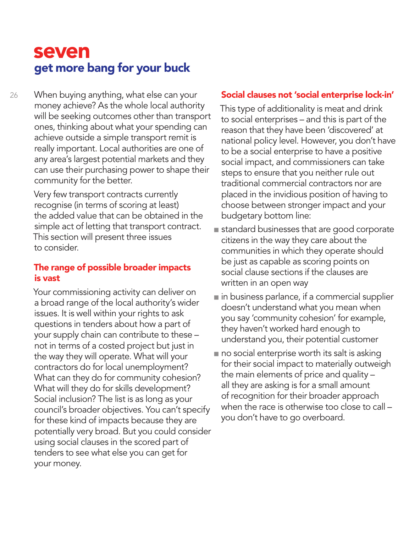### seven get more bang for your buck

26 Mhen buying anything, what else can your **Social clauses not 'social enterprise lock-in'** When buying anything, what else can your money achieve? As the whole local authority will be seeking outcomes other than transport ones, thinking about what your spending can achieve outside a simple transport remit is really important. Local authorities are one of any area's largest potential markets and they can use their purchasing power to shape their community for the better.

Very few transport contracts currently recognise (in terms of scoring at least) the added value that can be obtained in the simple act of letting that transport contract. This section will present three issues to consider.

#### The range of possible broader impacts is vast

Your commissioning activity can deliver on a broad range of the local authority's wider issues. It is well within your rights to ask questions in tenders about how a part of your supply chain can contribute to these – not in terms of a costed project but just in the way they will operate. What will your contractors do for local unemployment? What can they do for community cohesion? What will they do for skills development? Social inclusion? The list is as long as your council's broader objectives. You can't specify for these kind of impacts because they are potentially very broad. But you could consider using social clauses in the scored part of tenders to see what else you can get for your money.

This type of additionality is meat and drink to social enterprises – and this is part of the reason that they have been 'discovered' at national policy level. However, you don't have to be a social enterprise to have a positive social impact, and commissioners can take steps to ensure that you neither rule out traditional commercial contractors nor are placed in the invidious position of having to choose between stronger impact and your budgetary bottom line:

- $\blacksquare$  standard businesses that are good corporate citizens in the way they care about the communities in which they operate should be just as capable as scoring points on social clause sections if the clauses are written in an open way
- $\blacksquare$  in business parlance, if a commercial supplier doesn't understand what you mean when you say 'community cohesion' for example, they haven't worked hard enough to understand you, their potential customer
- $\blacksquare$  no social enterprise worth its salt is asking for their social impact to materially outweigh the main elements of price and quality – all they are asking is for a small amount of recognition for their broader approach when the race is otherwise too close to call – you don't have to go overboard.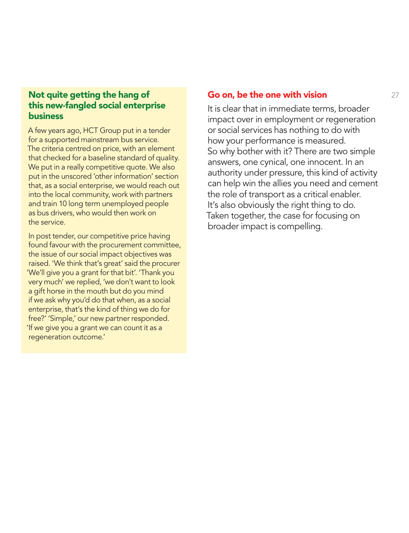#### Not quite getting the hang of this new-fangled social enterprise business

A few years ago, HCT Group put in a tender for a supported mainstream bus service. The criteria centred on price, with an element that checked for a baseline standard of quality. We put in a really competitive quote. We also put in the unscored 'other information' section that, as a social enterprise, we would reach out into the local community, work with partners and train 10 long term unemployed people as bus drivers, who would then work on the service.

In post tender, our competitive price having found favour with the procurement committee, the issue of our social impact objectives was raised. 'We think that's great' said the procurer 'We'll give you a grant for that bit'. 'Thank you very much' we replied, 'we don't want to look a gift horse in the mouth but do you mind if we ask why you'd do that when, as a social enterprise, that's the kind of thing we do for free?' 'Simple,' our new partner responded. 'If we give you a grant we can count it as a regeneration outcome.'

#### **Go on, be the one with vision Except CO** 27

It is clear that in immediate terms, broader impact over in employment or regeneration or social services has nothing to do with how your performance is measured. So why bother with it? There are two simple answers, one cynical, one innocent. In an authority under pressure, this kind of activity can help win the allies you need and cement the role of transport as a critical enabler. It's also obviously the right thing to do. Taken together, the case for focusing on broader impact is compelling.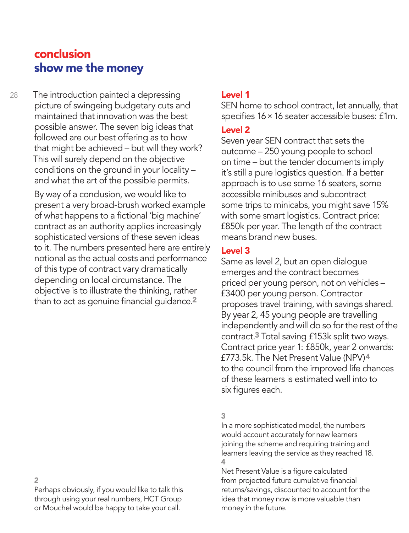### conclusion show me the money

28 Level 1 The introduction painted a depressing picture of swingeing budgetary cuts and maintained that innovation was the best possible answer. The seven big ideas that followed are our best offering as to how that might be achieved – but will they work? This will surely depend on the objective conditions on the ground in your locality – and what the art of the possible permits.

By way of a conclusion, we would like to present a very broad-brush worked example of what happens to a fictional 'big machine' contract as an authority applies increasingly sophisticated versions of these seven ideas to it. The numbers presented here are entirely notional as the actual costs and performance of this type of contract vary dramatically depending on local circumstance. The objective is to illustrate the thinking, rather than to act as genuine financial guidance.2

SEN home to school contract, let annually, that specifies 16×16 seater accessible buses: £1m.

#### Level 2

Seven year SEN contract that sets the outcome – 250 young people to school on time – but the tender documents imply it's still a pure logistics question. If a better approach is to use some 16 seaters, some accessible minibuses and subcontract some trips to minicabs, you might save 15% with some smart logistics. Contract price: £850k per year. The length of the contract means brand new buses.

### Level 3

Same as level 2, but an open dialogue emerges and the contract becomes priced per young person, not on vehicles – £3400 per young person. Contractor proposes travel training, with savings shared. By year 2, 45 young people are travelling independently and will do so for the rest of the contract.3 Total saving £153k split two ways. Contract price year 1: £850k, year 2 onwards: £773.5k. The Net Present Value (NPV)4 to the council from the improved life chances of these learners is estimated well into to six figures each.

#### 3

In a more sophisticated model, the numbers would account accurately for new learners joining the scheme and requiring training and learners leaving the service as they reached 18. 4

Net Present Value is a figure calculated from projected future cumulative financial returns/savings, discounted to account for the idea that money now is more valuable than money in the future.

#### 2

Perhaps obviously, if you would like to talk this through using your real numbers, HCT Group or Mouchel would be happy to take your call.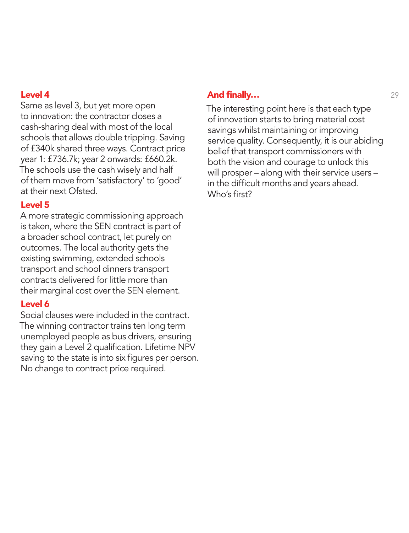#### Level 4

Same as level 3, but yet more open to innovation: the contractor closes a cash-sharing deal with most of the local schools that allows double tripping. Saving of £340k shared three ways. Contract price year 1: £736.7k; year 2 onwards: £660.2k. The schools use the cash wisely and half of them move from 'satisfactory' to 'good' at their next Ofsted.

#### Level 5

A more strategic commissioning approach is taken, where the SEN contract is part of a broader school contract, let purely on outcomes. The local authority gets the existing swimming, extended schools transport and school dinners transport contracts delivered for little more than their marginal cost over the SEN element.

#### Level 6

Social clauses were included in the contract. The winning contractor trains ten long term unemployed people as bus drivers, ensuring they gain a Level 2 qualification. Lifetime NPV saving to the state is into six figures per person. No change to contract price required.

### And finally… 29

The interesting point here is that each type of innovation starts to bring material cost savings whilst maintaining or improving service quality. Consequently, it is our abiding belief that transport commissioners with both the vision and courage to unlock this will prosper – along with their service users – in the difficult months and years ahead. Who's first?